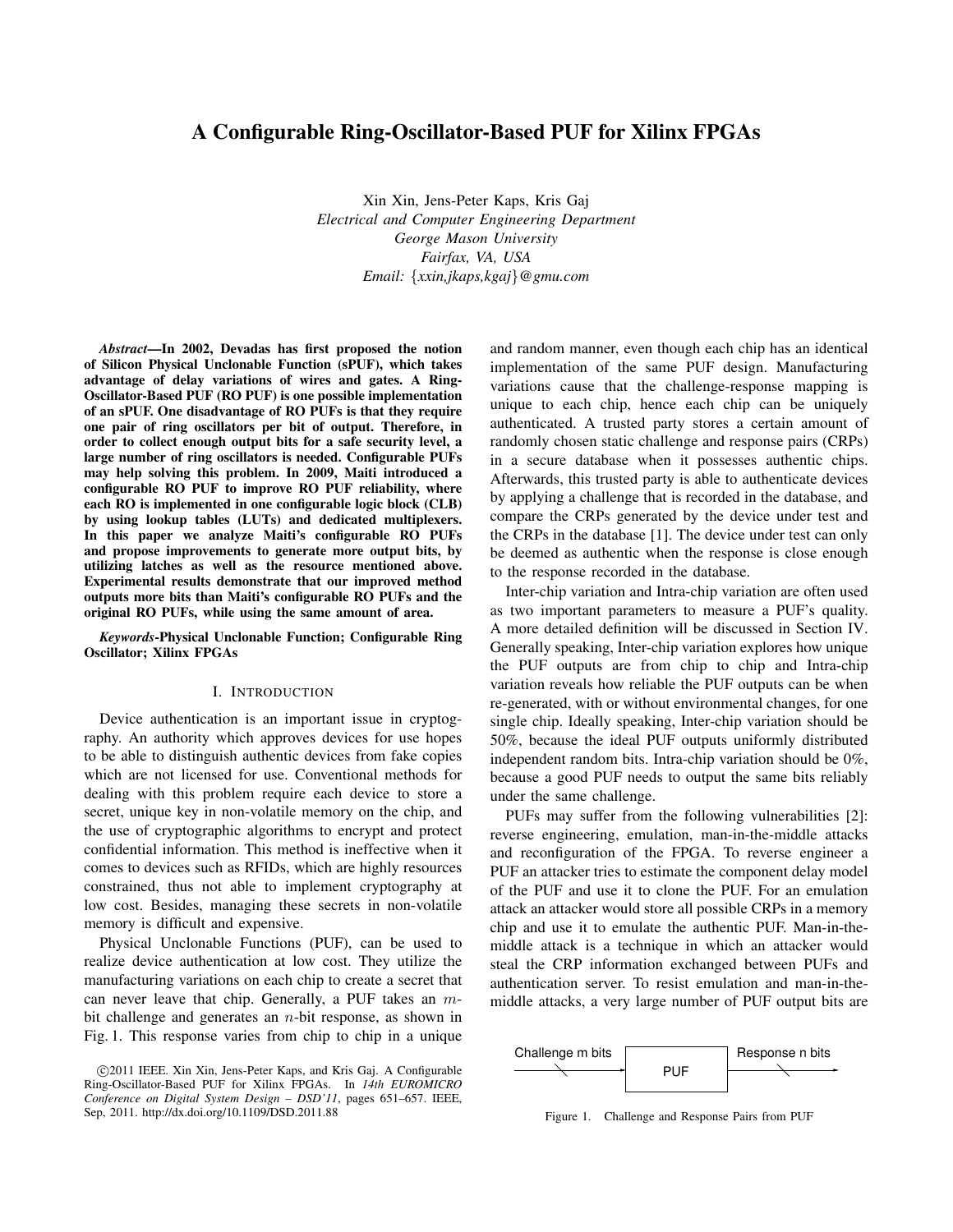# A Configurable Ring-Oscillator-Based PUF for Xilinx FPGAs

Xin Xin, Jens-Peter Kaps, Kris Gaj *Electrical and Computer Engineering Department George Mason University Fairfax, VA, USA Email:* {*xxin,jkaps,kgaj*}*@gmu.com*

*Abstract*—In 2002, Devadas has first proposed the notion of Silicon Physical Unclonable Function (sPUF), which takes advantage of delay variations of wires and gates. A Ring-Oscillator-Based PUF (RO PUF) is one possible implementation of an sPUF. One disadvantage of RO PUFs is that they require one pair of ring oscillators per bit of output. Therefore, in order to collect enough output bits for a safe security level, a large number of ring oscillators is needed. Configurable PUFs may help solving this problem. In 2009, Maiti introduced a configurable RO PUF to improve RO PUF reliability, where each RO is implemented in one configurable logic block (CLB) by using lookup tables (LUTs) and dedicated multiplexers. In this paper we analyze Maiti's configurable RO PUFs and propose improvements to generate more output bits, by utilizing latches as well as the resource mentioned above. Experimental results demonstrate that our improved method outputs more bits than Maiti's configurable RO PUFs and the original RO PUFs, while using the same amount of area.

*Keywords*-Physical Unclonable Function; Configurable Ring Oscillator; Xilinx FPGAs

### I. INTRODUCTION

Device authentication is an important issue in cryptography. An authority which approves devices for use hopes to be able to distinguish authentic devices from fake copies which are not licensed for use. Conventional methods for dealing with this problem require each device to store a secret, unique key in non-volatile memory on the chip, and the use of cryptographic algorithms to encrypt and protect confidential information. This method is ineffective when it comes to devices such as RFIDs, which are highly resources constrained, thus not able to implement cryptography at low cost. Besides, managing these secrets in non-volatile memory is difficult and expensive.

Physical Unclonable Functions (PUF), can be used to realize device authentication at low cost. They utilize the manufacturing variations on each chip to create a secret that can never leave that chip. Generally, a PUF takes an mbit challenge and generates an  $n$ -bit response, as shown in Fig. 1. This response varies from chip to chip in a unique and random manner, even though each chip has an identical implementation of the same PUF design. Manufacturing variations cause that the challenge-response mapping is unique to each chip, hence each chip can be uniquely authenticated. A trusted party stores a certain amount of randomly chosen static challenge and response pairs (CRPs) in a secure database when it possesses authentic chips. Afterwards, this trusted party is able to authenticate devices by applying a challenge that is recorded in the database, and compare the CRPs generated by the device under test and the CRPs in the database [1]. The device under test can only be deemed as authentic when the response is close enough to the response recorded in the database.

Inter-chip variation and Intra-chip variation are often used as two important parameters to measure a PUF's quality. A more detailed definition will be discussed in Section IV. Generally speaking, Inter-chip variation explores how unique the PUF outputs are from chip to chip and Intra-chip variation reveals how reliable the PUF outputs can be when re-generated, with or without environmental changes, for one single chip. Ideally speaking, Inter-chip variation should be 50%, because the ideal PUF outputs uniformly distributed independent random bits. Intra-chip variation should be 0%, because a good PUF needs to output the same bits reliably under the same challenge.

PUFs may suffer from the following vulnerabilities [2]: reverse engineering, emulation, man-in-the-middle attacks and reconfiguration of the FPGA. To reverse engineer a PUF an attacker tries to estimate the component delay model of the PUF and use it to clone the PUF. For an emulation attack an attacker would store all possible CRPs in a memory chip and use it to emulate the authentic PUF. Man-in-themiddle attack is a technique in which an attacker would steal the CRP information exchanged between PUFs and authentication server. To resist emulation and man-in-themiddle attacks, a very large number of PUF output bits are



Figure 1. Challenge and Response Pairs from PUF

c 2011 IEEE. Xin Xin, Jens-Peter Kaps, and Kris Gaj. A Configurable Ring-Oscillator-Based PUF for Xilinx FPGAs. In *14th EUROMICRO Conference on Digital System Design – DSD'11*, pages 651–657. IEEE, Sep, 2011. http://dx.doi.org/10.1109/DSD.2011.88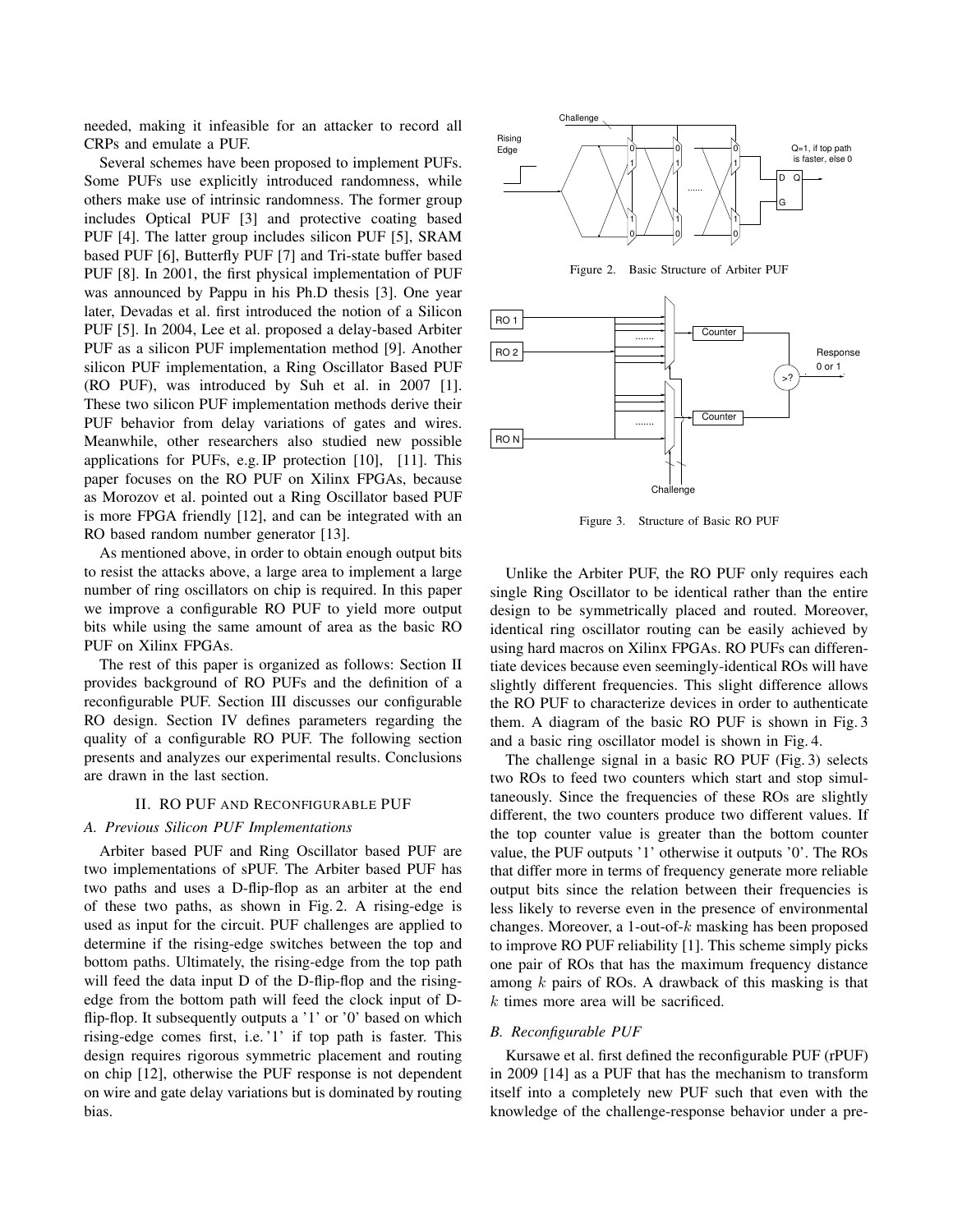needed, making it infeasible for an attacker to record all CRPs and emulate a PUF.

Several schemes have been proposed to implement PUFs. Some PUFs use explicitly introduced randomness, while others make use of intrinsic randomness. The former group includes Optical PUF [3] and protective coating based PUF [4]. The latter group includes silicon PUF [5], SRAM based PUF [6], Butterfly PUF [7] and Tri-state buffer based PUF [8]. In 2001, the first physical implementation of PUF was announced by Pappu in his Ph.D thesis [3]. One year later, Devadas et al. first introduced the notion of a Silicon PUF [5]. In 2004, Lee et al. proposed a delay-based Arbiter PUF as a silicon PUF implementation method [9]. Another silicon PUF implementation, a Ring Oscillator Based PUF (RO PUF), was introduced by Suh et al. in 2007 [1]. These two silicon PUF implementation methods derive their PUF behavior from delay variations of gates and wires. Meanwhile, other researchers also studied new possible applications for PUFs, e.g. IP protection [10], [11]. This paper focuses on the RO PUF on Xilinx FPGAs, because as Morozov et al. pointed out a Ring Oscillator based PUF is more FPGA friendly [12], and can be integrated with an RO based random number generator [13].

As mentioned above, in order to obtain enough output bits to resist the attacks above, a large area to implement a large number of ring oscillators on chip is required. In this paper we improve a configurable RO PUF to yield more output bits while using the same amount of area as the basic RO PUF on Xilinx FPGAs.

The rest of this paper is organized as follows: Section II provides background of RO PUFs and the definition of a reconfigurable PUF. Section III discusses our configurable RO design. Section IV defines parameters regarding the quality of a configurable RO PUF. The following section presents and analyzes our experimental results. Conclusions are drawn in the last section.

# II. RO PUF AND RECONFIGURABLE PUF

## *A. Previous Silicon PUF Implementations*

Arbiter based PUF and Ring Oscillator based PUF are two implementations of sPUF. The Arbiter based PUF has two paths and uses a D-flip-flop as an arbiter at the end of these two paths, as shown in Fig. 2. A rising-edge is used as input for the circuit. PUF challenges are applied to determine if the rising-edge switches between the top and bottom paths. Ultimately, the rising-edge from the top path will feed the data input D of the D-flip-flop and the risingedge from the bottom path will feed the clock input of Dflip-flop. It subsequently outputs a '1' or '0' based on which rising-edge comes first, i.e. '1' if top path is faster. This design requires rigorous symmetric placement and routing on chip [12], otherwise the PUF response is not dependent on wire and gate delay variations but is dominated by routing bias.



Figure 2. Basic Structure of Arbiter PUF



Figure 3. Structure of Basic RO PUF

Unlike the Arbiter PUF, the RO PUF only requires each single Ring Oscillator to be identical rather than the entire design to be symmetrically placed and routed. Moreover, identical ring oscillator routing can be easily achieved by using hard macros on Xilinx FPGAs. RO PUFs can differentiate devices because even seemingly-identical ROs will have slightly different frequencies. This slight difference allows the RO PUF to characterize devices in order to authenticate them. A diagram of the basic RO PUF is shown in Fig. 3 and a basic ring oscillator model is shown in Fig. 4.

The challenge signal in a basic RO PUF (Fig. 3) selects two ROs to feed two counters which start and stop simultaneously. Since the frequencies of these ROs are slightly different, the two counters produce two different values. If the top counter value is greater than the bottom counter value, the PUF outputs '1' otherwise it outputs '0'. The ROs that differ more in terms of frequency generate more reliable output bits since the relation between their frequencies is less likely to reverse even in the presence of environmental changes. Moreover, a 1-out-of-k masking has been proposed to improve RO PUF reliability [1]. This scheme simply picks one pair of ROs that has the maximum frequency distance among  $k$  pairs of ROs. A drawback of this masking is that k times more area will be sacrificed.

## *B. Reconfigurable PUF*

Kursawe et al. first defined the reconfigurable PUF (rPUF) in 2009 [14] as a PUF that has the mechanism to transform itself into a completely new PUF such that even with the knowledge of the challenge-response behavior under a pre-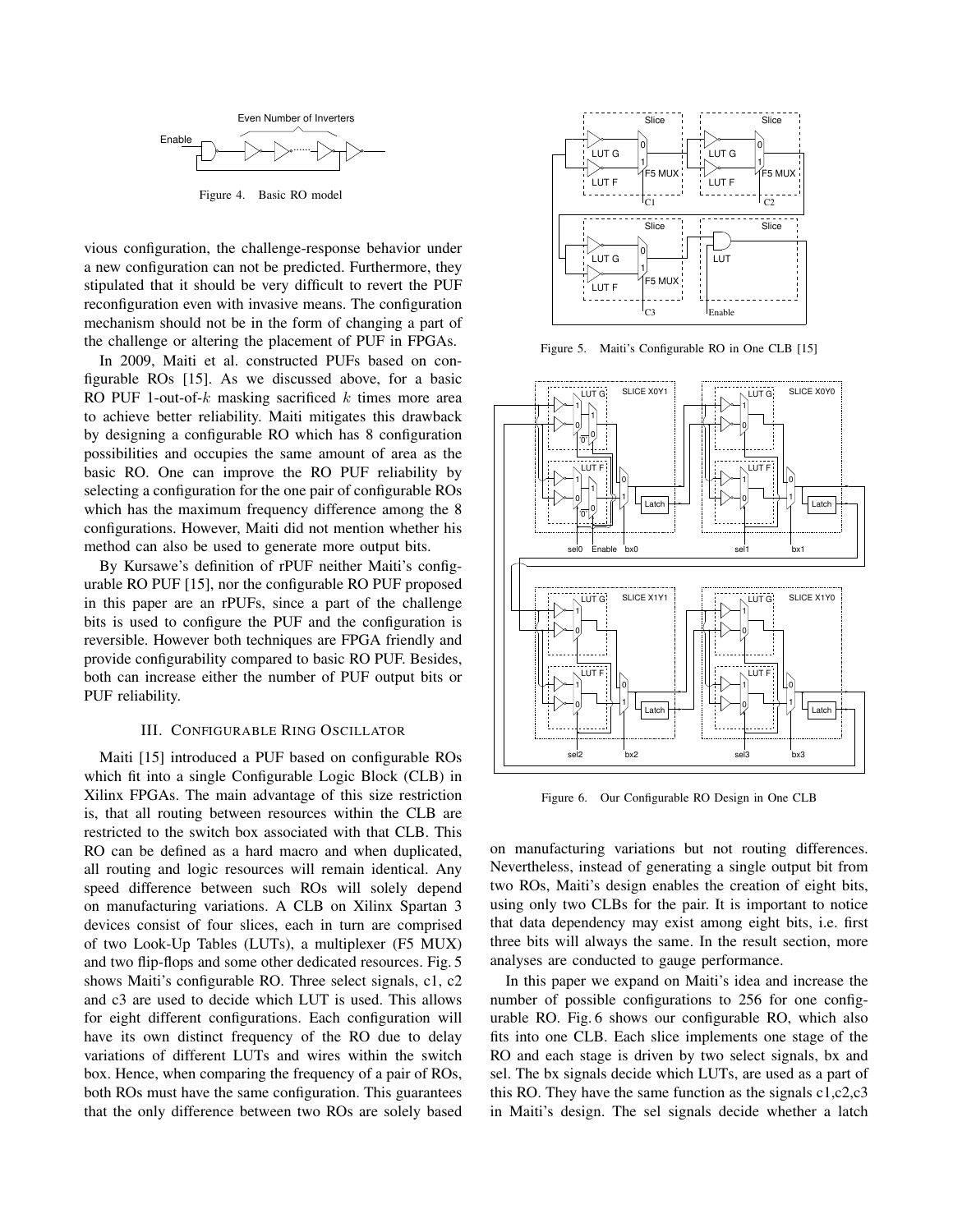

Figure 4. Basic RO model

vious configuration, the challenge-response behavior under a new configuration can not be predicted. Furthermore, they stipulated that it should be very difficult to revert the PUF reconfiguration even with invasive means. The configuration mechanism should not be in the form of changing a part of the challenge or altering the placement of PUF in FPGAs.

In 2009, Maiti et al. constructed PUFs based on configurable ROs [15]. As we discussed above, for a basic RO PUF 1-out-of- $k$  masking sacrificed  $k$  times more area to achieve better reliability. Maiti mitigates this drawback by designing a configurable RO which has 8 configuration possibilities and occupies the same amount of area as the basic RO. One can improve the RO PUF reliability by selecting a configuration for the one pair of configurable ROs which has the maximum frequency difference among the 8 configurations. However, Maiti did not mention whether his method can also be used to generate more output bits.

By Kursawe's definition of rPUF neither Maiti's configurable RO PUF [15], nor the configurable RO PUF proposed in this paper are an rPUFs, since a part of the challenge bits is used to configure the PUF and the configuration is reversible. However both techniques are FPGA friendly and provide configurability compared to basic RO PUF. Besides, both can increase either the number of PUF output bits or PUF reliability.

#### III. CONFIGURABLE RING OSCILLATOR

Maiti [15] introduced a PUF based on configurable ROs which fit into a single Configurable Logic Block (CLB) in Xilinx FPGAs. The main advantage of this size restriction is, that all routing between resources within the CLB are restricted to the switch box associated with that CLB. This RO can be defined as a hard macro and when duplicated, all routing and logic resources will remain identical. Any speed difference between such ROs will solely depend on manufacturing variations. A CLB on Xilinx Spartan 3 devices consist of four slices, each in turn are comprised of two Look-Up Tables (LUTs), a multiplexer (F5 MUX) and two flip-flops and some other dedicated resources. Fig. 5 shows Maiti's configurable RO. Three select signals, c1, c2 and c3 are used to decide which LUT is used. This allows for eight different configurations. Each configuration will have its own distinct frequency of the RO due to delay variations of different LUTs and wires within the switch box. Hence, when comparing the frequency of a pair of ROs, both ROs must have the same configuration. This guarantees that the only difference between two ROs are solely based



Figure 5. Maiti's Configurable RO in One CLB [15]



Figure 6. Our Configurable RO Design in One CLB

on manufacturing variations but not routing differences. Nevertheless, instead of generating a single output bit from two ROs, Maiti's design enables the creation of eight bits, using only two CLBs for the pair. It is important to notice that data dependency may exist among eight bits, i.e. first three bits will always the same. In the result section, more analyses are conducted to gauge performance.

In this paper we expand on Maiti's idea and increase the number of possible configurations to 256 for one configurable RO. Fig. 6 shows our configurable RO, which also fits into one CLB. Each slice implements one stage of the RO and each stage is driven by two select signals, bx and sel. The bx signals decide which LUTs, are used as a part of this RO. They have the same function as the signals  $c1, c2, c3$ in Maiti's design. The sel signals decide whether a latch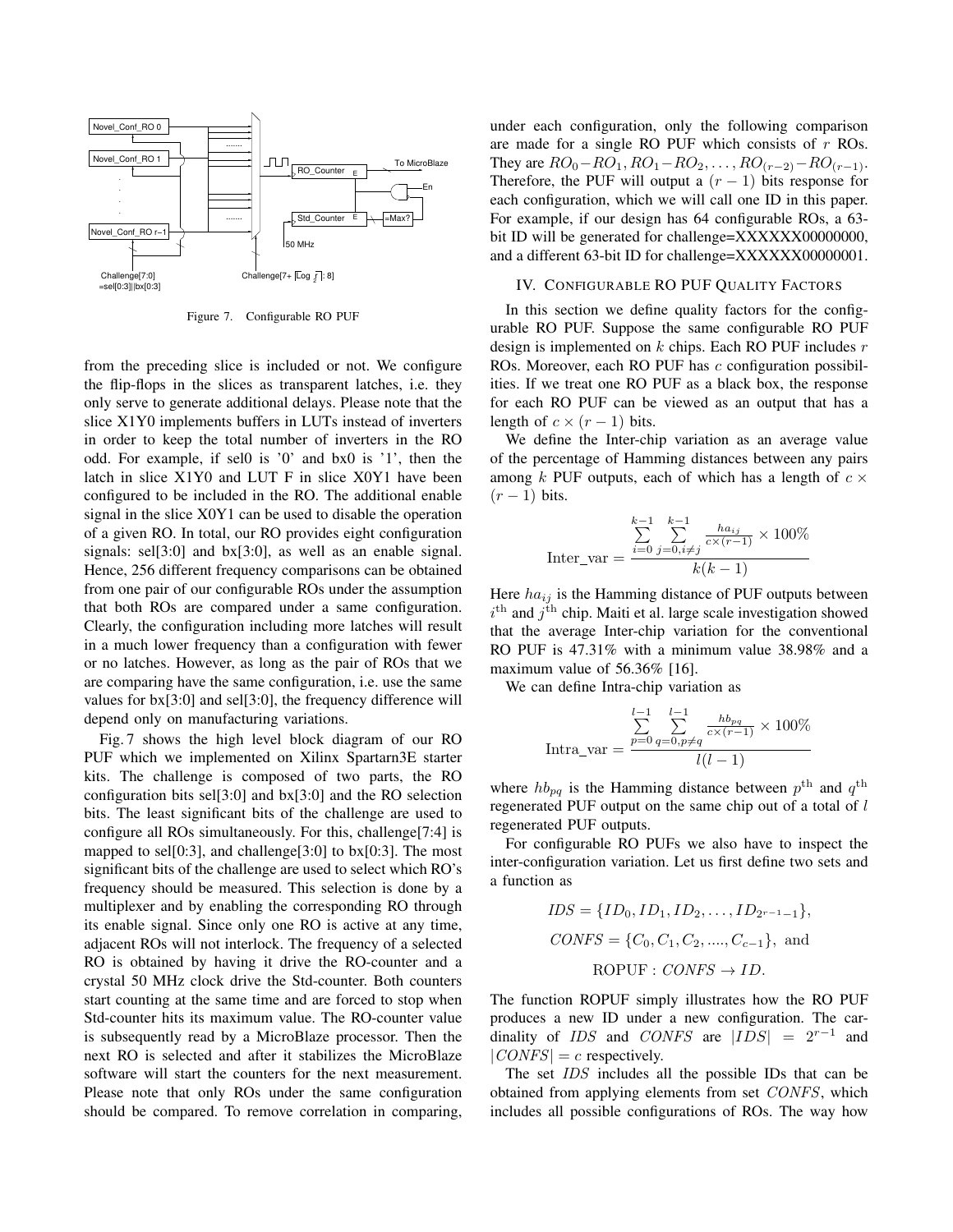

Figure 7. Configurable RO PUF

from the preceding slice is included or not. We configure the flip-flops in the slices as transparent latches, i.e. they only serve to generate additional delays. Please note that the slice X1Y0 implements buffers in LUTs instead of inverters in order to keep the total number of inverters in the RO odd. For example, if sel0 is '0' and bx0 is '1', then the latch in slice X1Y0 and LUT F in slice X0Y1 have been configured to be included in the RO. The additional enable signal in the slice X0Y1 can be used to disable the operation of a given RO. In total, our RO provides eight configuration signals: sel[3:0] and bx[3:0], as well as an enable signal. Hence, 256 different frequency comparisons can be obtained from one pair of our configurable ROs under the assumption that both ROs are compared under a same configuration. Clearly, the configuration including more latches will result in a much lower frequency than a configuration with fewer or no latches. However, as long as the pair of ROs that we are comparing have the same configuration, i.e. use the same values for bx[3:0] and sel[3:0], the frequency difference will depend only on manufacturing variations.

Fig. 7 shows the high level block diagram of our RO PUF which we implemented on Xilinx Spartarn3E starter kits. The challenge is composed of two parts, the RO configuration bits sel[3:0] and bx[3:0] and the RO selection bits. The least significant bits of the challenge are used to configure all ROs simultaneously. For this, challenge[7:4] is mapped to sel $[0:3]$ , and challenge $[3:0]$  to bx $[0:3]$ . The most significant bits of the challenge are used to select which RO's frequency should be measured. This selection is done by a multiplexer and by enabling the corresponding RO through its enable signal. Since only one RO is active at any time, adjacent ROs will not interlock. The frequency of a selected RO is obtained by having it drive the RO-counter and a crystal 50 MHz clock drive the Std-counter. Both counters start counting at the same time and are forced to stop when Std-counter hits its maximum value. The RO-counter value is subsequently read by a MicroBlaze processor. Then the next RO is selected and after it stabilizes the MicroBlaze software will start the counters for the next measurement. Please note that only ROs under the same configuration should be compared. To remove correlation in comparing, under each configuration, only the following comparison are made for a single RO PUF which consists of  $r$  ROs. They are  $RO_0 - RO_1$ ,  $RO_1 - RO_2$ , ...,  $RO_{(r-2)} - RO_{(r-1)}$ . Therefore, the PUF will output a  $(r - 1)$  bits response for each configuration, which we will call one ID in this paper. For example, if our design has 64 configurable ROs, a 63 bit ID will be generated for challenge=XXXXXX00000000, and a different 63-bit ID for challenge=XXXXXX00000001.

# IV. CONFIGURABLE RO PUF QUALITY FACTORS

In this section we define quality factors for the configurable RO PUF. Suppose the same configurable RO PUF design is implemented on  $k$  chips. Each RO PUF includes  $r$ ROs. Moreover, each RO PUF has  $c$  configuration possibilities. If we treat one RO PUF as a black box, the response for each RO PUF can be viewed as an output that has a length of  $c \times (r-1)$  bits.

We define the Inter-chip variation as an average value of the percentage of Hamming distances between any pairs among k PUF outputs, each of which has a length of  $c \times$  $(r-1)$  bits.

$$
Inter\_var = \frac{\sum_{i=0}^{k-1} \sum_{j=0, i \neq j}^{k-1} \frac{h a_{ij}}{c \times (r-1)} \times 100\%}{k(k-1)}
$$

Here  $ha_{ij}$  is the Hamming distance of PUF outputs between  $i<sup>th</sup>$  and  $j<sup>th</sup>$  chip. Maiti et al. large scale investigation showed that the average Inter-chip variation for the conventional RO PUF is 47.31% with a minimum value 38.98% and a maximum value of 56.36% [16].

We can define Intra-chip variation as

$$
\text{Intra\_var} = \frac{\sum_{p=0}^{l-1} \sum_{q=0, p \neq q}^{l-1} \frac{hb_{pq}}{c \times (r-1)} \times 100\%}{l(l-1)}
$$

where  $h b_{pq}$  is the Hamming distance between  $p^{\text{th}}$  and  $q^{\text{th}}$ regenerated PUF output on the same chip out of a total of l regenerated PUF outputs.

For configurable RO PUFs we also have to inspect the inter-configuration variation. Let us first define two sets and a function as

$$
IDS = \{ID_0, ID_1, ID_2, \dots, ID_{2^{r-1}-1}\},\
$$
  

$$
CONFS = \{C_0, C_1, C_2, \dots, C_{c-1}\},\
$$
and  

$$
ROPUF : CONFS \rightarrow ID.
$$

The function ROPUF simply illustrates how the RO PUF produces a new ID under a new configuration. The cardinality of *IDS* and *CONFS* are  $|IDS| = 2^{r-1}$  and  $|CONFS| = c$  respectively.

The set IDS includes all the possible IDs that can be obtained from applying elements from set CONFS, which includes all possible configurations of ROs. The way how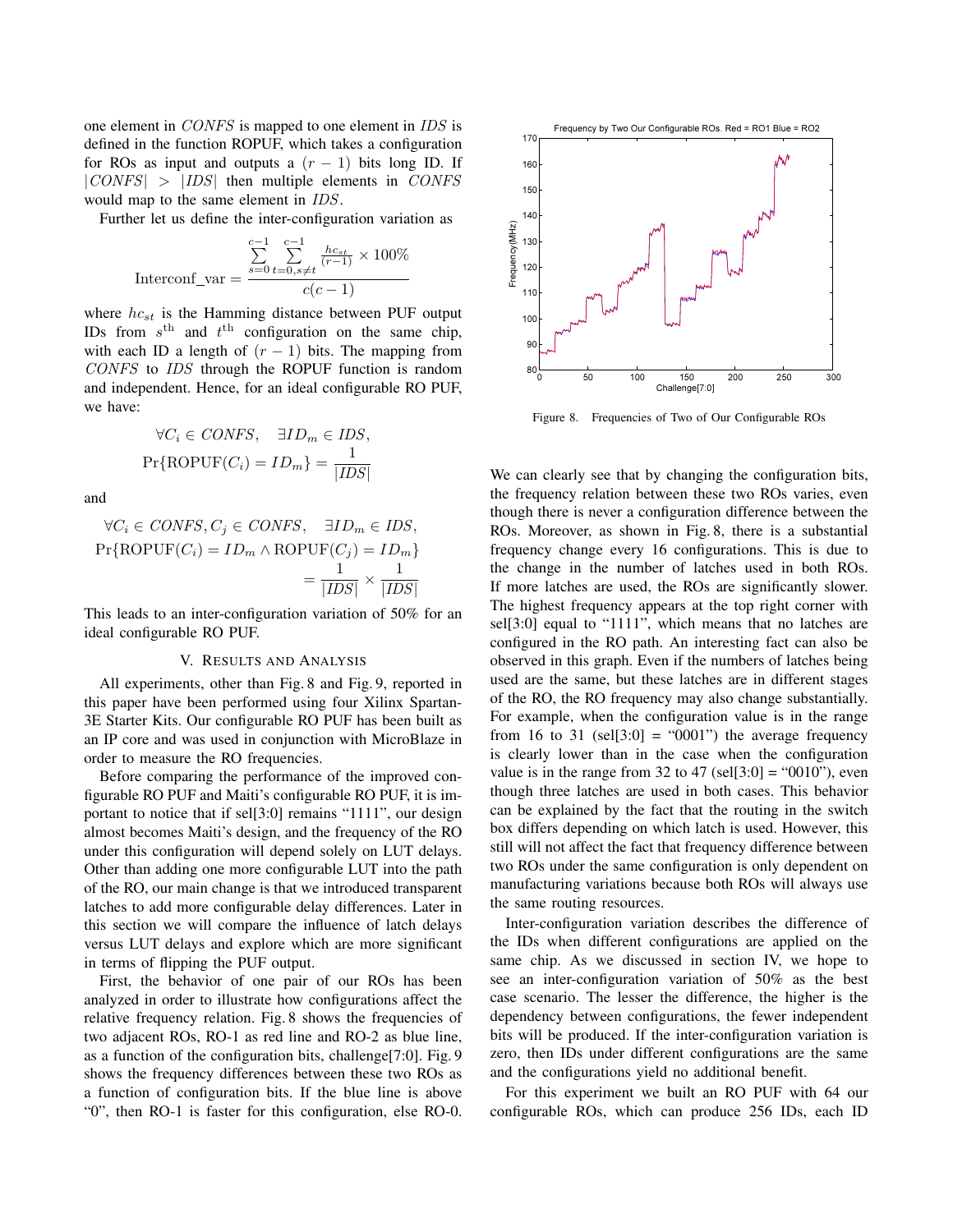one element in CONFS is mapped to one element in IDS is defined in the function ROPUF, which takes a configuration for ROs as input and outputs a  $(r - 1)$  bits long ID. If  $|CONFS| > |IDS|$  then multiple elements in *CONFS* would map to the same element in IDS.

Further let us define the inter-configuration variation as

$$
Interconf\_var = \frac{\sum_{s=0}^{c-1} \sum_{t=0, s \neq t}^{c-1} \frac{hc_{st}}{(r-1)} \times 100\%}{c(c-1)}
$$

where  $hc_{st}$  is the Hamming distance between PUF output IDs from  $s<sup>th</sup>$  and  $t<sup>th</sup>$  configuration on the same chip, with each ID a length of  $(r - 1)$  bits. The mapping from CONFS to IDS through the ROPUF function is random and independent. Hence, for an ideal configurable RO PUF, we have:

$$
\forall C_i \in CONFS, \quad \exists ID_m \in IDs, \Pr\{\text{ROPUF}(C_i) = ID_m\} = \frac{1}{|IDS|}
$$

and

 $\forall C_i \in CONFS, C_i \in CONFS, \quad \exists ID_m \in IDs,$  $Pr\{\text{ROPUF}(C_i) = ID_m \wedge \text{ROPUF}(C_j) = ID_m\}$  $=\frac{1}{110}$  $\frac{1}{|IDS|} \times \frac{1}{|ID}$  $|IDS|$ 

This leads to an inter-configuration variation of 50% for an ideal configurable RO PUF.

## V. RESULTS AND ANALYSIS

All experiments, other than Fig. 8 and Fig. 9, reported in this paper have been performed using four Xilinx Spartan-3E Starter Kits. Our configurable RO PUF has been built as an IP core and was used in conjunction with MicroBlaze in order to measure the RO frequencies.

Before comparing the performance of the improved configurable RO PUF and Maiti's configurable RO PUF, it is important to notice that if sel[3:0] remains "1111", our design almost becomes Maiti's design, and the frequency of the RO under this configuration will depend solely on LUT delays. Other than adding one more configurable LUT into the path of the RO, our main change is that we introduced transparent latches to add more configurable delay differences. Later in this section we will compare the influence of latch delays versus LUT delays and explore which are more significant in terms of flipping the PUF output.

First, the behavior of one pair of our ROs has been analyzed in order to illustrate how configurations affect the relative frequency relation. Fig. 8 shows the frequencies of two adjacent ROs, RO-1 as red line and RO-2 as blue line, as a function of the configuration bits, challenge[7:0]. Fig. 9 shows the frequency differences between these two ROs as a function of configuration bits. If the blue line is above "0", then RO-1 is faster for this configuration, else RO-0.



Figure 8. Frequencies of Two of Our Configurable ROs

We can clearly see that by changing the configuration bits, the frequency relation between these two ROs varies, even though there is never a configuration difference between the ROs. Moreover, as shown in Fig. 8, there is a substantial frequency change every 16 configurations. This is due to the change in the number of latches used in both ROs. If more latches are used, the ROs are significantly slower. The highest frequency appears at the top right corner with sel[3:0] equal to "1111", which means that no latches are configured in the RO path. An interesting fact can also be observed in this graph. Even if the numbers of latches being used are the same, but these latches are in different stages of the RO, the RO frequency may also change substantially. For example, when the configuration value is in the range from 16 to 31 (sel $[3:0]$  = "0001") the average frequency is clearly lower than in the case when the configuration value is in the range from 32 to 47 (sel[3:0] = "0010"), even though three latches are used in both cases. This behavior can be explained by the fact that the routing in the switch box differs depending on which latch is used. However, this still will not affect the fact that frequency difference between two ROs under the same configuration is only dependent on manufacturing variations because both ROs will always use the same routing resources.

Inter-configuration variation describes the difference of the IDs when different configurations are applied on the same chip. As we discussed in section IV, we hope to see an inter-configuration variation of 50% as the best case scenario. The lesser the difference, the higher is the dependency between configurations, the fewer independent bits will be produced. If the inter-configuration variation is zero, then IDs under different configurations are the same and the configurations yield no additional benefit.

For this experiment we built an RO PUF with 64 our configurable ROs, which can produce 256 IDs, each ID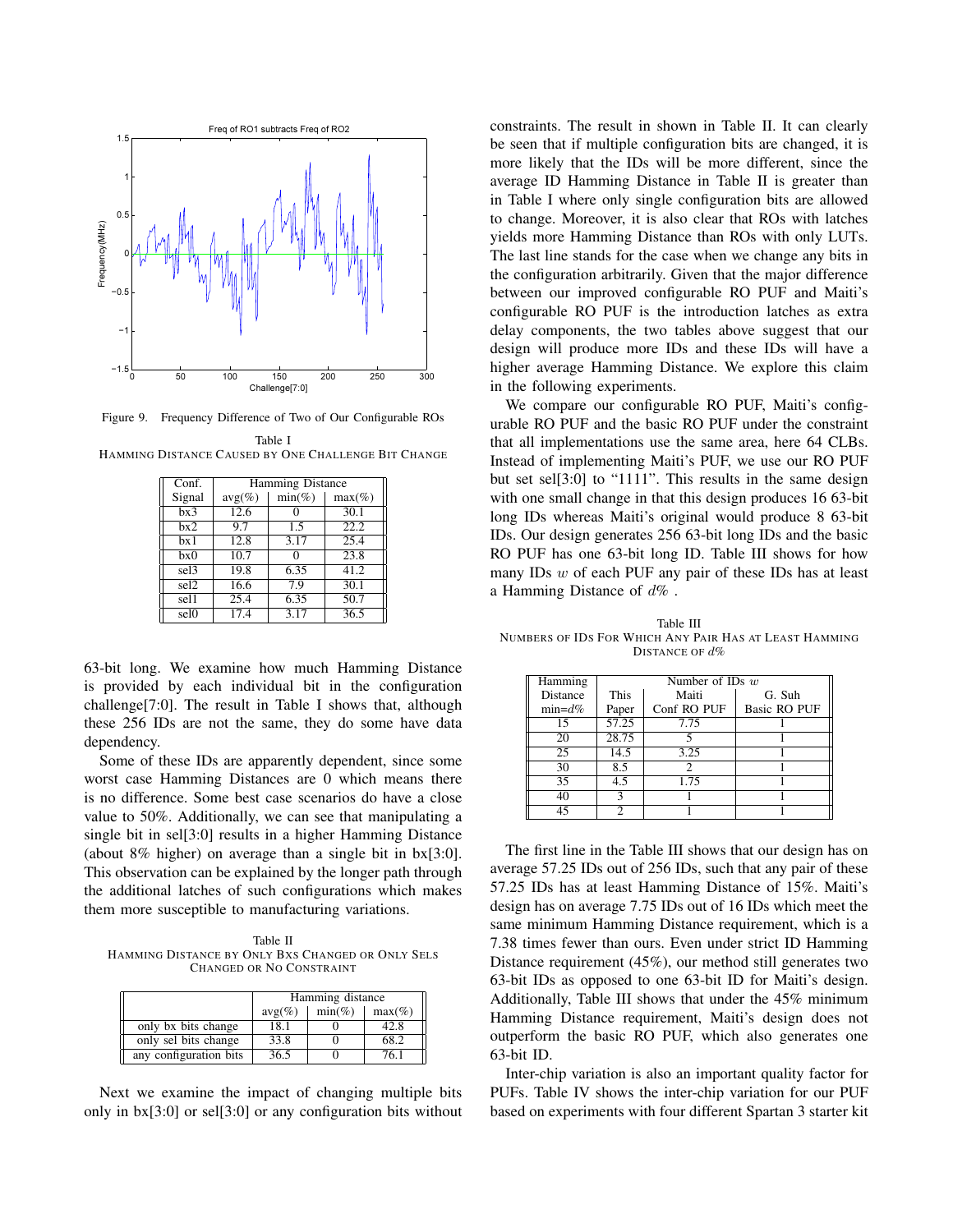

Figure 9. Frequency Difference of Two of Our Configurable ROs Table I

HAMMING DISTANCE CAUSED BY ONE CHALLENGE BIT CHANGE

| Conf.            | <b>Hamming Distance</b> |           |           |
|------------------|-------------------------|-----------|-----------|
| Signal           | $avg(\%)$               | $min(\%)$ | $max(\%)$ |
| bx3              | 12.6                    |           | 30.1      |
| bx2              | 9.7                     | 1.5       | 22.2      |
| bx1              | 12.8                    | 3.17      | 25.4      |
| bx0              | 10.7                    |           | 23.8      |
| sel <sub>3</sub> | 19.8                    | 6.35      | 41.2      |
| sel <sub>2</sub> | 16.6                    | 7.9       | 30.1      |
| sel1             | 25.4                    | 6.35      | 50.7      |
| sel0             | 17.4                    | 3.17      | 36.5      |

63-bit long. We examine how much Hamming Distance is provided by each individual bit in the configuration challenge[7:0]. The result in Table I shows that, although these 256 IDs are not the same, they do some have data dependency.

Some of these IDs are apparently dependent, since some worst case Hamming Distances are 0 which means there is no difference. Some best case scenarios do have a close value to 50%. Additionally, we can see that manipulating a single bit in sel[3:0] results in a higher Hamming Distance (about 8% higher) on average than a single bit in bx[3:0]. This observation can be explained by the longer path through the additional latches of such configurations which makes them more susceptible to manufacturing variations.

Table II HAMMING DISTANCE BY ONLY BXS CHANGED OR ONLY SELS CHANGED OR NO CONSTRAINT

|                        | Hamming distance |            |           |
|------------------------|------------------|------------|-----------|
|                        | $avg(\%)$        | $min(\% )$ | $max(\%)$ |
| only bx bits change    | 18.1             |            | 42.8      |
| only sel bits change   | 33.8             |            | 68.2      |
| any configuration bits | 36.5             |            | 76.1      |

Next we examine the impact of changing multiple bits only in bx[3:0] or sel[3:0] or any configuration bits without constraints. The result in shown in Table II. It can clearly be seen that if multiple configuration bits are changed, it is more likely that the IDs will be more different, since the average ID Hamming Distance in Table II is greater than in Table I where only single configuration bits are allowed to change. Moreover, it is also clear that ROs with latches yields more Hamming Distance than ROs with only LUTs. The last line stands for the case when we change any bits in the configuration arbitrarily. Given that the major difference between our improved configurable RO PUF and Maiti's configurable RO PUF is the introduction latches as extra delay components, the two tables above suggest that our design will produce more IDs and these IDs will have a higher average Hamming Distance. We explore this claim in the following experiments.

We compare our configurable RO PUF, Maiti's configurable RO PUF and the basic RO PUF under the constraint that all implementations use the same area, here 64 CLBs. Instead of implementing Maiti's PUF, we use our RO PUF but set sel[3:0] to "1111". This results in the same design with one small change in that this design produces 16 63-bit long IDs whereas Maiti's original would produce 8 63-bit IDs. Our design generates 256 63-bit long IDs and the basic RO PUF has one 63-bit long ID. Table III shows for how many IDs w of each PUF any pair of these IDs has at least a Hamming Distance of  $d\%$ .

Table III NUMBERS OF IDS FOR WHICH ANY PAIR HAS AT LEAST HAMMING DISTANCE OF  $d$ %

| Hamming         | Number of IDs $w$ |             |              |  |
|-----------------|-------------------|-------------|--------------|--|
| <b>Distance</b> | This              | Maiti       | G. Suh       |  |
| $min=d\%$       | Paper             | Conf RO PUF | Basic RO PUF |  |
| 15              | 57.25             | 7.75        |              |  |
| 20              | 28.75             |             |              |  |
| 25              | 14.5              | 3.25        |              |  |
| $\overline{30}$ | 8.5               | 2           |              |  |
| $\overline{35}$ | 4.5               | 1.75        |              |  |
| 40              |                   |             |              |  |
| 45              |                   |             |              |  |

The first line in the Table III shows that our design has on average 57.25 IDs out of 256 IDs, such that any pair of these 57.25 IDs has at least Hamming Distance of 15%. Maiti's design has on average 7.75 IDs out of 16 IDs which meet the same minimum Hamming Distance requirement, which is a 7.38 times fewer than ours. Even under strict ID Hamming Distance requirement (45%), our method still generates two 63-bit IDs as opposed to one 63-bit ID for Maiti's design. Additionally, Table III shows that under the 45% minimum Hamming Distance requirement, Maiti's design does not outperform the basic RO PUF, which also generates one 63-bit ID.

Inter-chip variation is also an important quality factor for PUFs. Table IV shows the inter-chip variation for our PUF based on experiments with four different Spartan 3 starter kit